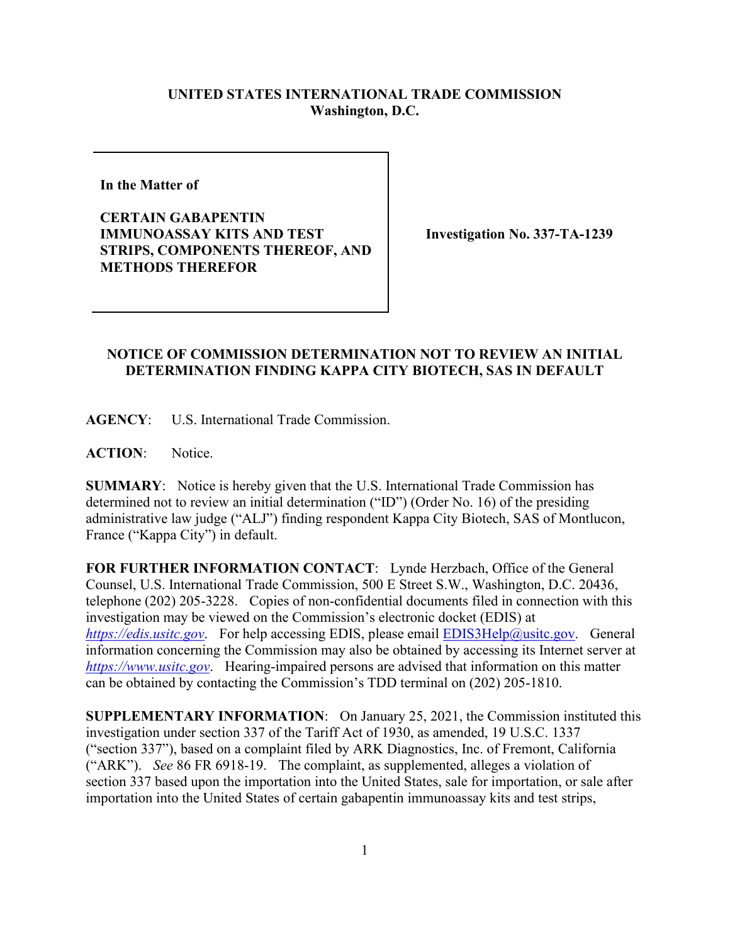## **UNITED STATES INTERNATIONAL TRADE COMMISSION Washington, D.C.**

**In the Matter of** 

**CERTAIN GABAPENTIN IMMUNOASSAY KITS AND TEST STRIPS, COMPONENTS THEREOF, AND METHODS THEREFOR**

**Investigation No. 337-TA-1239**

## **NOTICE OF COMMISSION DETERMINATION NOT TO REVIEW AN INITIAL DETERMINATION FINDING KAPPA CITY BIOTECH, SAS IN DEFAULT**

**AGENCY**: U.S. International Trade Commission.

**ACTION**: Notice.

**SUMMARY**: Notice is hereby given that the U.S. International Trade Commission has determined not to review an initial determination ("ID") (Order No. 16) of the presiding administrative law judge ("ALJ") finding respondent Kappa City Biotech, SAS of Montlucon, France ("Kappa City") in default.

**FOR FURTHER INFORMATION CONTACT**: Lynde Herzbach, Office of the General Counsel, U.S. International Trade Commission, 500 E Street S.W., Washington, D.C. 20436, telephone (202) 205-3228. Copies of non-confidential documents filed in connection with this investigation may be viewed on the Commission's electronic docket (EDIS) at *[https://edis.usitc.gov](https://edis.usitc.gov/)*. For help accessing EDIS, please email [EDIS3Help@usitc.gov.](mailto:EDIS3Help@usitc.gov) General information concerning the Commission may also be obtained by accessing its Internet server at *[https://www.usitc.gov](https://www.usitc.gov/)*. Hearing-impaired persons are advised that information on this matter can be obtained by contacting the Commission's TDD terminal on (202) 205-1810.

**SUPPLEMENTARY INFORMATION**: On January 25, 2021, the Commission instituted this investigation under section 337 of the Tariff Act of 1930, as amended, 19 U.S.C. 1337 ("section 337"), based on a complaint filed by ARK Diagnostics, Inc. of Fremont, California ("ARK"). *See* 86 FR 6918-19. The complaint, as supplemented, alleges a violation of section 337 based upon the importation into the United States, sale for importation, or sale after importation into the United States of certain gabapentin immunoassay kits and test strips,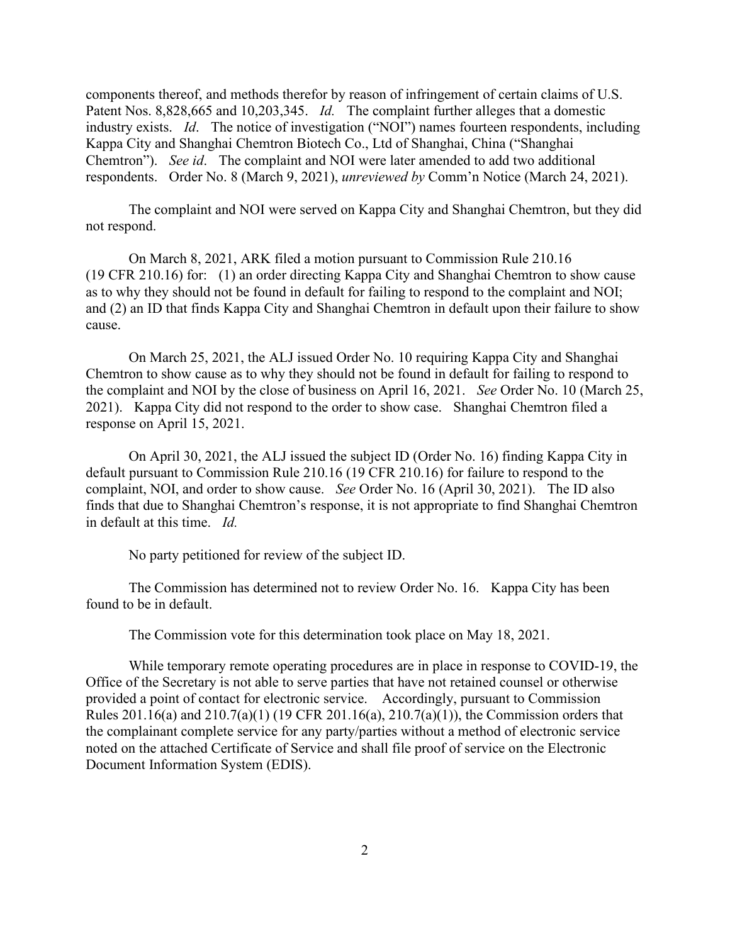components thereof, and methods therefor by reason of infringement of certain claims of U.S. Patent Nos. 8,828,665 and 10,203,345. *Id.* The complaint further alleges that a domestic industry exists. *Id*. The notice of investigation ("NOI") names fourteen respondents, including Kappa City and Shanghai Chemtron Biotech Co., Ltd of Shanghai, China ("Shanghai Chemtron"). *See id*. The complaint and NOI were later amended to add two additional respondents. Order No. 8 (March 9, 2021), *unreviewed by* Comm'n Notice (March 24, 2021).

The complaint and NOI were served on Kappa City and Shanghai Chemtron, but they did not respond.

On March 8, 2021, ARK filed a motion pursuant to Commission Rule 210.16 (19 CFR 210.16) for: (1) an order directing Kappa City and Shanghai Chemtron to show cause as to why they should not be found in default for failing to respond to the complaint and NOI; and (2) an ID that finds Kappa City and Shanghai Chemtron in default upon their failure to show cause.

On March 25, 2021, the ALJ issued Order No. 10 requiring Kappa City and Shanghai Chemtron to show cause as to why they should not be found in default for failing to respond to the complaint and NOI by the close of business on April 16, 2021. *See* Order No. 10 (March 25, 2021). Kappa City did not respond to the order to show case. Shanghai Chemtron filed a response on April 15, 2021.

On April 30, 2021, the ALJ issued the subject ID (Order No. 16) finding Kappa City in default pursuant to Commission Rule 210.16 (19 CFR 210.16) for failure to respond to the complaint, NOI, and order to show cause. *See* Order No. 16 (April 30, 2021). The ID also finds that due to Shanghai Chemtron's response, it is not appropriate to find Shanghai Chemtron in default at this time. *Id.*

No party petitioned for review of the subject ID.

The Commission has determined not to review Order No. 16. Kappa City has been found to be in default.

The Commission vote for this determination took place on May 18, 2021.

While temporary remote operating procedures are in place in response to COVID-19, the Office of the Secretary is not able to serve parties that have not retained counsel or otherwise provided a point of contact for electronic service. Accordingly, pursuant to Commission Rules 201.16(a) and 210.7(a)(1) (19 CFR 201.16(a), 210.7(a)(1)), the Commission orders that the complainant complete service for any party/parties without a method of electronic service noted on the attached Certificate of Service and shall file proof of service on the Electronic Document Information System (EDIS).